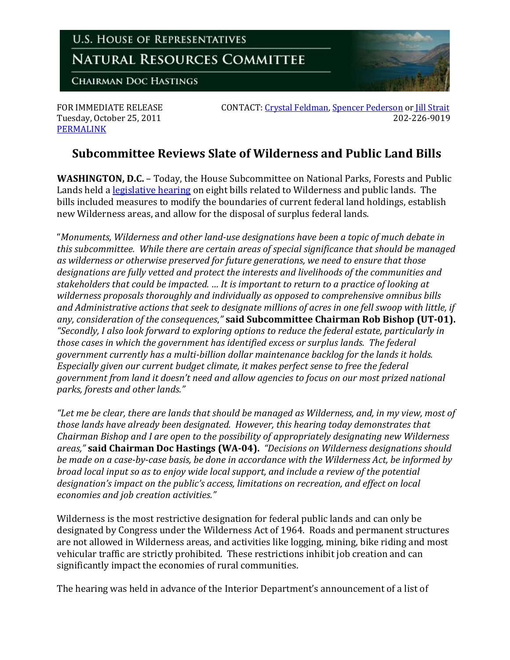

[PERMALINK](http://naturalresources.house.gov/News/DocumentSingle.aspx?DocumentID=265935)

FOR IMMEDIATE RELEASE CONTACT: [Crystal Feldman,](mailto:crystal.feldman@mail.house.gov) [Spencer Pederson](mailto:spencer.pederson@mail.house.gov) or Jill Strait Tuesday, October 25, 2011 202-226-9019

## **Subcommittee Reviews Slate of Wilderness and Public Land Bills**

**WASHINGTON, D.C.** – Today, the House Subcommittee on National Parks, Forests and Public Lands held a **legislative hearing** on eight bills related to Wilderness and public lands. The bills included measures to modify the boundaries of current federal land holdings, establish new Wilderness areas, and allow for the disposal of surplus federal lands.

"*Monuments, Wilderness and other land-use designations have been a topic of much debate in this subcommittee. While there are certain areas of special significance that should be managed as wilderness or otherwise preserved for future generations, we need to ensure that those designations are fully vetted and protect the interests and livelihoods of the communities and stakeholders that could be impacted. … It is important to return to a practice of looking at wilderness proposals thoroughly and individually as opposed to comprehensive omnibus bills and Administrative actions that seek to designate millions of acres in one fell swoop with little, if any, consideration of the consequences*,*"* **said Subcommittee Chairman Rob Bishop (UT-01).** *"Secondly, I also look forward to exploring options to reduce the federal estate, particularly in those cases in which the government has identified excess or surplus lands. The federal government currently has a multi-billion dollar maintenance backlog for the lands it holds. Especially given our current budget climate, it makes perfect sense to free the federal government from land it doesn't need and allow agencies to focus on our most prized national parks, forests and other lands."*

*"Let me be clear, there are lands that should be managed as Wilderness, and, in my view, most of those lands have already been designated. However, this hearing today demonstrates that Chairman Bishop and I are open to the possibility of appropriately designating new Wilderness areas,"* **said Chairman Doc Hastings (WA-04).** *"Decisions on Wilderness designations should be made on a case-by-case basis, be done in accordance with the Wilderness Act, be informed by broad local input so as to enjoy wide local support, and include a review of the potential designation's impact on the public's access, limitations on recreation, and effect on local economies and job creation activities."*

Wilderness is the most restrictive designation for federal public lands and can only be designated by Congress under the Wilderness Act of 1964. Roads and permanent structures are not allowed in Wilderness areas, and activities like logging, mining, bike riding and most vehicular traffic are strictly prohibited. These restrictions inhibit job creation and can significantly impact the economies of rural communities.

The hearing was held in advance of the Interior Department's announcement of a list of